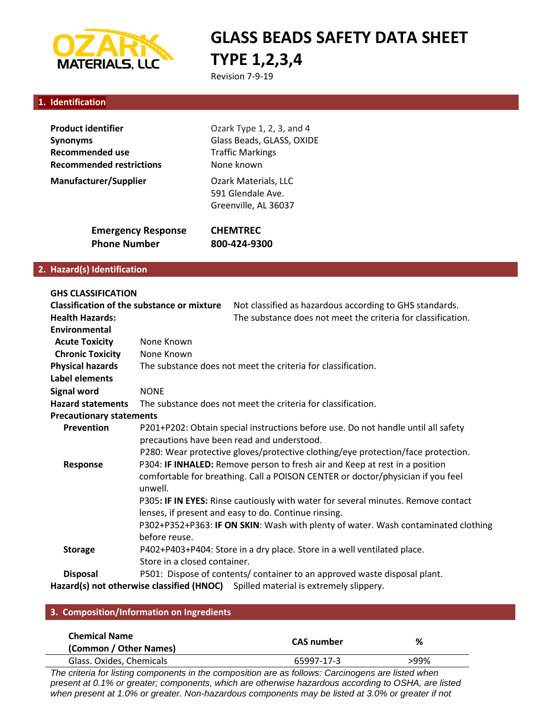

# **GLASS BEADS SAFETY DATA SHEET TYPE 1,2,3,4**

Revision 7-9-19

#### **1. Identification**

| <b>Product identifier</b>       | Ozark Type 1, 2, 3, and 4                                         |  |
|---------------------------------|-------------------------------------------------------------------|--|
| Synonyms                        | Glass Beads, GLASS, OXIDE<br><b>Traffic Markings</b>              |  |
| <b>Recommended use</b>          |                                                                   |  |
| <b>Recommended restrictions</b> | None known                                                        |  |
| <b>Manufacturer/Supplier</b>    | Ozark Materials, LLC<br>591 Glendale Ave.<br>Greenville, AL 36037 |  |
| <b>Emergency Response</b>       | <b>CHEMTREC</b>                                                   |  |
| <b>Phone Number</b>             | 800-424-9300                                                      |  |

#### **2. Hazard(s) Identification**

| <b>GHS CLASSIFICATION</b>                         |                                                                                   |  |
|---------------------------------------------------|-----------------------------------------------------------------------------------|--|
| <b>Classification of the substance or mixture</b> | Not classified as hazardous according to GHS standards.                           |  |
| <b>Health Hazards:</b>                            | The substance does not meet the criteria for classification.                      |  |
| Environmental                                     |                                                                                   |  |
| <b>Acute Toxicity</b>                             | None Known                                                                        |  |
| <b>Chronic Toxicity</b>                           | None Known                                                                        |  |
| <b>Physical hazards</b>                           | The substance does not meet the criteria for classification.                      |  |
| Label elements                                    |                                                                                   |  |
| <b>Signal word</b>                                | <b>NONE</b>                                                                       |  |
| <b>Hazard statements</b>                          | The substance does not meet the criteria for classification.                      |  |
| <b>Precautionary statements</b>                   |                                                                                   |  |
| Prevention                                        | P201+P202: Obtain special instructions before use. Do not handle until all safety |  |
|                                                   | precautions have been read and understood.                                        |  |
|                                                   | P280: Wear protective gloves/protective clothing/eye protection/face protection.  |  |
| Response                                          | P304: IF INHALED: Remove person to fresh air and Keep at rest in a position       |  |
|                                                   | comfortable for breathing. Call a POISON CENTER or doctor/physician if you feel   |  |
|                                                   | unwell.                                                                           |  |
|                                                   | P305: IF IN EYES: Rinse cautiously with water for several minutes. Remove contact |  |
|                                                   | lenses, if present and easy to do. Continue rinsing.                              |  |
|                                                   | P302+P352+P363: IF ON SKIN: Wash with plenty of water. Wash contaminated clothing |  |
|                                                   | before reuse.                                                                     |  |
| <b>Storage</b>                                    | P402+P403+P404: Store in a dry place. Store in a well ventilated place.           |  |
|                                                   | Store in a closed container.                                                      |  |
| <b>Disposal</b>                                   | P501: Dispose of contents/ container to an approved waste disposal plant.         |  |
|                                                   | Hazard(s) not otherwise classified (HNOC) Spilled material is extremely slippery. |  |

#### **3. Composition/Information on Ingredients**

| <b>Chemical Name</b><br>(Common / Other Names) | CAS number | %    |
|------------------------------------------------|------------|------|
| Glass. Oxides, Chemicals                       | 65997-17-3 | >99% |
|                                                |            |      |

*The criteria for listing components in the composition are as follows: Carcinogens are listed when present at 0.1% or greater; components, which are otherwise hazardous according to OSHA, are listed when present at 1.0% or greater. Non-hazardous components may be listed at 3.0% or greater if not*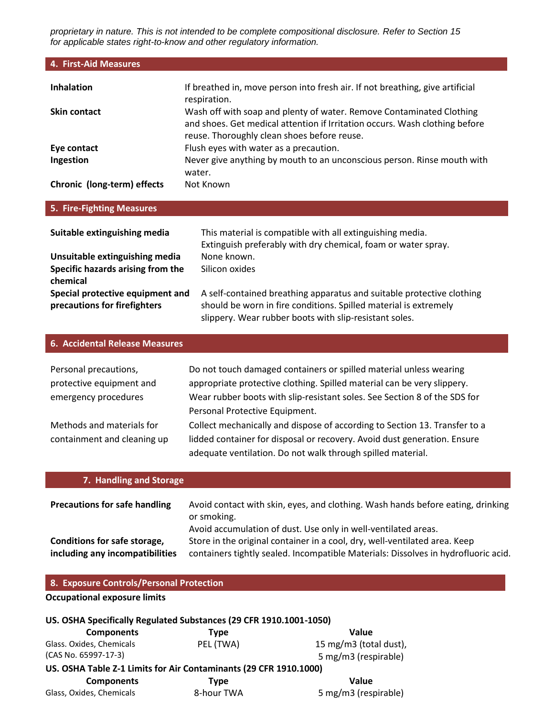*proprietary in nature. This is not intended to be complete compositional disclosure. Refer to Section 15 for applicable states right-to-know and other regulatory information.*

| 4. First-Aid Measures                                                                                           |                                                                                                                                                                                                                                                         |
|-----------------------------------------------------------------------------------------------------------------|---------------------------------------------------------------------------------------------------------------------------------------------------------------------------------------------------------------------------------------------------------|
| <b>Inhalation</b>                                                                                               | If breathed in, move person into fresh air. If not breathing, give artificial                                                                                                                                                                           |
| <b>Skin contact</b>                                                                                             | respiration.<br>Wash off with soap and plenty of water. Remove Contaminated Clothing<br>and shoes. Get medical attention if Irritation occurs. Wash clothing before<br>reuse. Thoroughly clean shoes before reuse.                                      |
| Eye contact<br>Ingestion                                                                                        | Flush eyes with water as a precaution.<br>Never give anything by mouth to an unconscious person. Rinse mouth with<br>water.                                                                                                                             |
| Chronic (long-term) effects                                                                                     | Not Known                                                                                                                                                                                                                                               |
| 5. Fire-Fighting Measures                                                                                       |                                                                                                                                                                                                                                                         |
| Suitable extinguishing media<br>Unsuitable extinguishing media<br>Specific hazards arising from the<br>chemical | This material is compatible with all extinguishing media.<br>Extinguish preferably with dry chemical, foam or water spray.<br>None known.<br>Silicon oxides                                                                                             |
| Special protective equipment and<br>precautions for firefighters                                                | A self-contained breathing apparatus and suitable protective clothing<br>should be worn in fire conditions. Spilled material is extremely<br>slippery. Wear rubber boots with slip-resistant soles.                                                     |
| <b>6. Accidental Release Measures</b>                                                                           |                                                                                                                                                                                                                                                         |
| Personal precautions,<br>protective equipment and<br>emergency procedures                                       | Do not touch damaged containers or spilled material unless wearing<br>appropriate protective clothing. Spilled material can be very slippery.<br>Wear rubber boots with slip-resistant soles. See Section 8 of the SDS for                              |
| Methods and materials for<br>containment and cleaning up                                                        | Personal Protective Equipment.<br>Collect mechanically and dispose of according to Section 13. Transfer to a<br>lidded container for disposal or recovery. Avoid dust generation. Ensure<br>adequate ventilation. Do not walk through spilled material. |
| 7. Handling and Storage                                                                                         |                                                                                                                                                                                                                                                         |
| <b>Precautions for safe handling</b>                                                                            | Avoid contact with skin, eyes, and clothing. Wash hands before eating, drinking<br>or smoking.<br>Avoid accumulation of dust. Use only in well-ventilated areas.                                                                                        |
| Conditions for safe storage,<br>including any incompatibilities                                                 | Store in the original container in a cool, dry, well-ventilated area. Keep<br>containers tightly sealed. Incompatible Materials: Dissolves in hydrofluoric acid.                                                                                        |
| 8. Exposure Controls/Personal Protection                                                                        |                                                                                                                                                                                                                                                         |
| <b>Occupational exposure limits</b>                                                                             |                                                                                                                                                                                                                                                         |

### **US. OSHA Specifically Regulated Substances (29 CFR 1910.1001-1050)**

| <b>Components</b>                                                 | <b>Type</b> | Value                  |
|-------------------------------------------------------------------|-------------|------------------------|
| Glass. Oxides, Chemicals                                          | PEL (TWA)   | 15 mg/m3 (total dust), |
| (CAS No. 65997-17-3)                                              |             | 5 mg/m3 (respirable)   |
| US. OSHA Table Z-1 Limits for Air Contaminants (29 CFR 1910.1000) |             |                        |
| <b>Components</b>                                                 | <b>Type</b> | Value                  |
| Glass, Oxides, Chemicals                                          | 8-hour TWA  | 5 mg/m3 (respirable)   |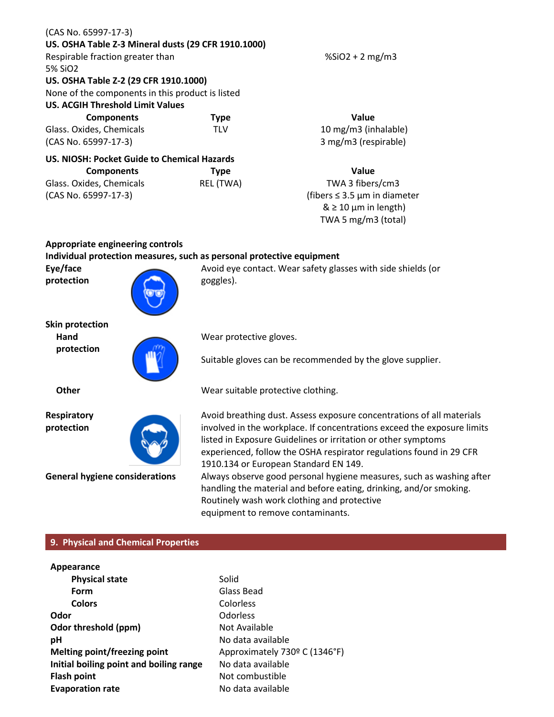| US. OSHA Table Z-3 Mineral dusts (29 CFR 1910.1000) |             |                                   |
|-----------------------------------------------------|-------------|-----------------------------------|
| Respirable fraction greater than                    |             | $%SiO2 + 2 mg/m3$                 |
|                                                     |             |                                   |
| 5% SiO2                                             |             |                                   |
| US. OSHA Table Z-2 (29 CFR 1910.1000)               |             |                                   |
| None of the components in this product is listed    |             |                                   |
| <b>US. ACGIH Threshold Limit Values</b>             |             |                                   |
| <b>Components</b>                                   | <b>Type</b> | <b>Value</b>                      |
| Glass. Oxides, Chemicals                            | TLV         | 10 mg/m3 (inhalable)              |
| (CAS No. 65997-17-3)                                |             | 3 mg/m3 (respirable)              |
| US. NIOSH: Pocket Guide to Chemical Hazards         |             |                                   |
| <b>Components</b>                                   | <b>Type</b> | Value                             |
| Glass. Oxides, Chemicals                            | REL (TWA)   | TWA 3 fibers/cm3                  |
| (CAS No. 65997-17-3)                                |             | (fibers $\leq$ 3.5 µm in diameter |
|                                                     |             | $& \geq 10 \mu m$ in length)      |

**Skin protection**

**Eye/face protection**

**Appropriate engineering controls**

(CAS No. 65997-17-3)

**Hand protection**

**Individual protection measures, such as personal protective equipment** 

goggles).

Wear protective gloves.

Suitable gloves can be recommended by the glove supplier.

Avoid eye contact. Wear safety glasses with side shields (or

**Other** Wear suitable protective clothing.

**Respiratory protection**

Avoid breathing dust. Assess exposure concentrations of all materials involved in the workplace. If concentrations exceed the exposure limits listed in Exposure Guidelines or irritation or other symptoms experienced, follow the OSHA respirator regulations found in 29 CFR 1910.134 or European Standard EN 149.

TWA 5 mg/m3 (total)

**General hygiene considerations** Always observe good personal hygiene measures, such as washing after handling the material and before eating, drinking, and/or smoking. Routinely wash work clothing and protective equipment to remove contaminants.

#### **9. Physical and Chemical Properties**

| Appearance                              |                               |
|-----------------------------------------|-------------------------------|
| <b>Physical state</b>                   | Solid                         |
| Form                                    | Glass Bead                    |
| <b>Colors</b>                           | Colorless                     |
| Odor                                    | <b>Odorless</b>               |
| Odor threshold (ppm)                    | Not Available                 |
| рH                                      | No data available             |
| Melting point/freezing point            | Approximately 730º C (1346°F) |
| Initial boiling point and boiling range | No data available             |
| <b>Flash point</b>                      | Not combustible               |
| <b>Evaporation rate</b>                 | No data available             |
|                                         |                               |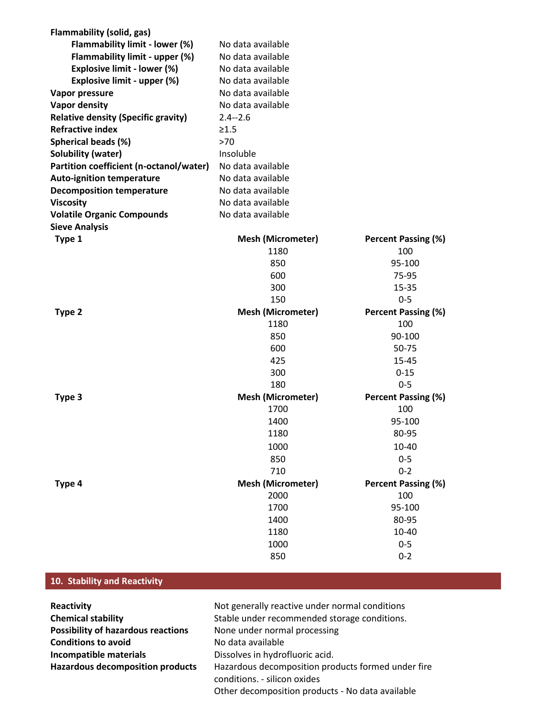| <b>Flammability (solid, gas)</b>           |                          |                            |
|--------------------------------------------|--------------------------|----------------------------|
| Flammability limit - lower (%)             | No data available        |                            |
| Flammability limit - upper (%)             | No data available        |                            |
| <b>Explosive limit - lower (%)</b>         | No data available        |                            |
| Explosive limit - upper (%)                | No data available        |                            |
| Vapor pressure                             | No data available        |                            |
| <b>Vapor density</b>                       | No data available        |                            |
| <b>Relative density (Specific gravity)</b> | $2.4 - 2.6$              |                            |
| <b>Refractive index</b>                    | $\geq 1.5$               |                            |
| Spherical beads (%)                        | >70                      |                            |
| <b>Solubility (water)</b>                  | Insoluble                |                            |
| Partition coefficient (n-octanol/water)    | No data available        |                            |
| <b>Auto-ignition temperature</b>           | No data available        |                            |
| <b>Decomposition temperature</b>           | No data available        |                            |
| <b>Viscosity</b>                           | No data available        |                            |
| <b>Volatile Organic Compounds</b>          | No data available        |                            |
| <b>Sieve Analysis</b>                      |                          |                            |
| Type 1                                     | <b>Mesh (Micrometer)</b> | <b>Percent Passing (%)</b> |
|                                            | 1180                     | 100                        |
|                                            | 850                      | 95-100                     |
|                                            | 600                      | 75-95                      |
|                                            | 300                      | 15-35                      |
|                                            | 150                      | $0 - 5$                    |
| Type 2                                     | <b>Mesh (Micrometer)</b> | <b>Percent Passing (%)</b> |
|                                            | 1180                     | 100                        |
|                                            | 850                      | 90-100                     |
|                                            | 600                      | 50-75                      |
|                                            | 425                      | 15-45                      |
|                                            | 300                      | $0 - 15$                   |
|                                            | 180                      | $0 - 5$                    |
| Type 3                                     | <b>Mesh (Micrometer)</b> | <b>Percent Passing (%)</b> |
|                                            | 1700                     | 100                        |
|                                            | 1400                     | 95-100                     |
|                                            | 1180                     | 80-95                      |
|                                            | 1000                     | 10-40                      |
|                                            | 850                      | $0 - 5$                    |
|                                            | 710                      | $0 - 2$                    |
| Type 4                                     | <b>Mesh (Micrometer)</b> | <b>Percent Passing (%)</b> |
|                                            | 2000                     | 100                        |
|                                            | 1700                     | 95-100                     |
|                                            | 1400                     | 80-95                      |
|                                            | 1180                     | 10-40                      |
|                                            | 1000                     | $0 - 5$                    |
|                                            | 850                      | $0 - 2$                    |
|                                            |                          |                            |

## **10. Stability and Reactivity**

| Reactivity                                | Not generally reactive under normal conditions                                                                                         |
|-------------------------------------------|----------------------------------------------------------------------------------------------------------------------------------------|
| <b>Chemical stability</b>                 | Stable under recommended storage conditions.                                                                                           |
| <b>Possibility of hazardous reactions</b> | None under normal processing                                                                                                           |
| <b>Conditions to avoid</b>                | No data available                                                                                                                      |
| Incompatible materials                    | Dissolves in hydrofluoric acid.                                                                                                        |
| <b>Hazardous decomposition products</b>   | Hazardous decomposition products formed under fire<br>conditions. - silicon oxides<br>Other decomposition products - No data available |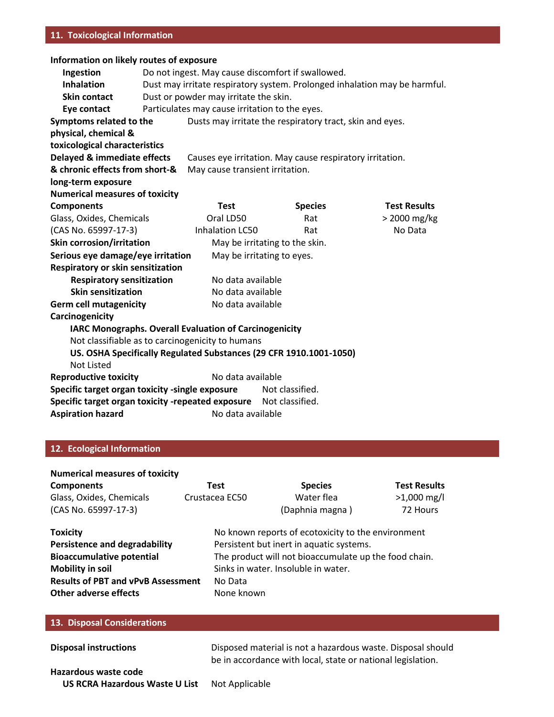#### **11. Toxicological Information**

#### **Information on likely routes of exposure**

| Ingestion                                                         | Do not ingest. May cause discomfort if swallowed.                          |                                                               |                                                                    |                     |
|-------------------------------------------------------------------|----------------------------------------------------------------------------|---------------------------------------------------------------|--------------------------------------------------------------------|---------------------|
| <b>Inhalation</b>                                                 | Dust may irritate respiratory system. Prolonged inhalation may be harmful. |                                                               |                                                                    |                     |
| Skin contact                                                      | Dust or powder may irritate the skin.                                      |                                                               |                                                                    |                     |
| Eye contact                                                       |                                                                            | Particulates may cause irritation to the eyes.                |                                                                    |                     |
| Symptoms related to the                                           |                                                                            |                                                               | Dusts may irritate the respiratory tract, skin and eyes.           |                     |
| physical, chemical &                                              |                                                                            |                                                               |                                                                    |                     |
| toxicological characteristics                                     |                                                                            |                                                               |                                                                    |                     |
| Delayed & immediate effects                                       |                                                                            |                                                               | Causes eye irritation. May cause respiratory irritation.           |                     |
| & chronic effects from short-&                                    |                                                                            | May cause transient irritation.                               |                                                                    |                     |
| long-term exposure                                                |                                                                            |                                                               |                                                                    |                     |
| <b>Numerical measures of toxicity</b>                             |                                                                            |                                                               |                                                                    |                     |
| <b>Components</b>                                                 |                                                                            | <b>Test</b>                                                   | <b>Species</b>                                                     | <b>Test Results</b> |
| Glass, Oxides, Chemicals                                          |                                                                            | Oral LD50                                                     | Rat                                                                | > 2000 mg/kg        |
| (CAS No. 65997-17-3)                                              |                                                                            | <b>Inhalation LC50</b>                                        | Rat                                                                | No Data             |
| Skin corrosion/irritation                                         |                                                                            |                                                               | May be irritating to the skin.                                     |                     |
| Serious eye damage/eye irritation<br>May be irritating to eyes.   |                                                                            |                                                               |                                                                    |                     |
| Respiratory or skin sensitization                                 |                                                                            |                                                               |                                                                    |                     |
| <b>Respiratory sensitization</b><br>No data available             |                                                                            |                                                               |                                                                    |                     |
| <b>Skin sensitization</b>                                         |                                                                            | No data available                                             |                                                                    |                     |
| <b>Germ cell mutagenicity</b><br>No data available                |                                                                            |                                                               |                                                                    |                     |
| Carcinogenicity                                                   |                                                                            |                                                               |                                                                    |                     |
|                                                                   |                                                                            | <b>IARC Monographs. Overall Evaluation of Carcinogenicity</b> |                                                                    |                     |
|                                                                   |                                                                            | Not classifiable as to carcinogenicity to humans              |                                                                    |                     |
|                                                                   |                                                                            |                                                               | US. OSHA Specifically Regulated Substances (29 CFR 1910.1001-1050) |                     |
| <b>Not Listed</b>                                                 |                                                                            |                                                               |                                                                    |                     |
| <b>Reproductive toxicity</b>                                      |                                                                            | No data available                                             |                                                                    |                     |
| Specific target organ toxicity -single exposure                   |                                                                            |                                                               | Not classified.                                                    |                     |
| Specific target organ toxicity -repeated exposure Not classified. |                                                                            |                                                               |                                                                    |                     |
| <b>Aspiration hazard</b>                                          |                                                                            | No data available                                             |                                                                    |                     |
|                                                                   |                                                                            |                                                               |                                                                    |                     |

### **12. Ecological Information**

| <b>Numerical measures of toxicity</b>     |                |                                                       |                     |  |
|-------------------------------------------|----------------|-------------------------------------------------------|---------------------|--|
| <b>Components</b>                         | Test           | <b>Species</b>                                        | <b>Test Results</b> |  |
| Glass, Oxides, Chemicals                  | Crustacea EC50 | Water flea                                            | $>1,000$ mg/l       |  |
| (CAS No. 65997-17-3)                      |                | (Daphnia magna)                                       | 72 Hours            |  |
| <b>Toxicity</b>                           |                | No known reports of ecotoxicity to the environment    |                     |  |
| <b>Persistence and degradability</b>      |                | Persistent but inert in aquatic systems.              |                     |  |
| <b>Bioaccumulative potential</b>          |                | The product will not bioaccumulate up the food chain. |                     |  |
| <b>Mobility in soil</b>                   |                | Sinks in water. Insoluble in water.                   |                     |  |
| <b>Results of PBT and vPvB Assessment</b> | No Data        |                                                       |                     |  |
| <b>Other adverse effects</b>              | None known     |                                                       |                     |  |

#### **13. Disposal Considerations**

| <b>Disposal instructions</b>   | Disposed material is not a hazardous waste. Disposal should |
|--------------------------------|-------------------------------------------------------------|
|                                | be in accordance with local, state or national legislation. |
| Hazardous waste code           |                                                             |
| US RCRA Hazardous Waste U List | Not Applicable                                              |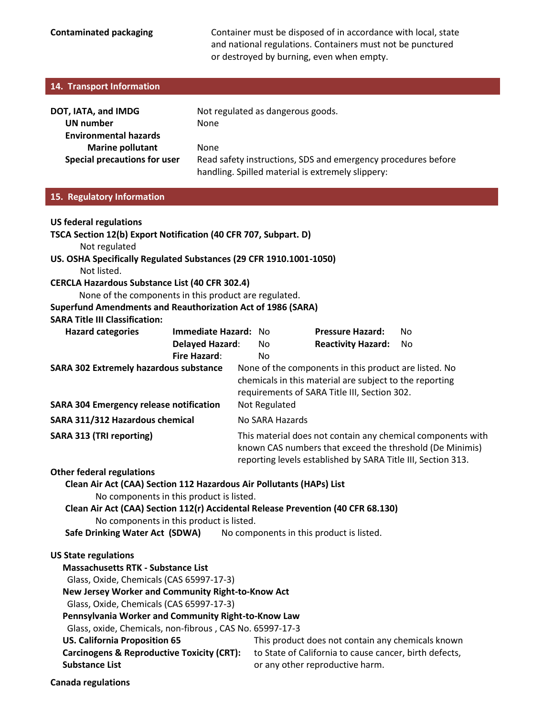**Contaminated packaging Container must be disposed of in accordance with local, state** and national regulations. Containers must not be punctured or destroyed by burning, even when empty.

| 14. Transport Information                                                                                                                                                                                                                                                                                                                                                                                                                                          |                                         |                                                                                                                                                                                         |                                                                                                                                                         |                                                                                                                                                |                 |  |  |
|--------------------------------------------------------------------------------------------------------------------------------------------------------------------------------------------------------------------------------------------------------------------------------------------------------------------------------------------------------------------------------------------------------------------------------------------------------------------|-----------------------------------------|-----------------------------------------------------------------------------------------------------------------------------------------------------------------------------------------|---------------------------------------------------------------------------------------------------------------------------------------------------------|------------------------------------------------------------------------------------------------------------------------------------------------|-----------------|--|--|
| DOT, IATA, and IMDG<br><b>UN number</b><br><b>Environmental hazards</b><br><b>Marine pollutant</b><br><b>Special precautions for user</b>                                                                                                                                                                                                                                                                                                                          | None<br>None                            |                                                                                                                                                                                         | Not regulated as dangerous goods.<br>Read safety instructions, SDS and emergency procedures before<br>handling. Spilled material is extremely slippery: |                                                                                                                                                |                 |  |  |
| 15. Regulatory Information                                                                                                                                                                                                                                                                                                                                                                                                                                         |                                         |                                                                                                                                                                                         |                                                                                                                                                         |                                                                                                                                                |                 |  |  |
| <b>US federal regulations</b><br>TSCA Section 12(b) Export Notification (40 CFR 707, Subpart. D)<br>Not regulated<br>US. OSHA Specifically Regulated Substances (29 CFR 1910.1001-1050)<br>Not listed.<br><b>CERCLA Hazardous Substance List (40 CFR 302.4)</b><br>None of the components in this product are regulated.<br><b>Superfund Amendments and Reauthorization Act of 1986 (SARA)</b><br><b>SARA Title III Classification:</b>                            |                                         |                                                                                                                                                                                         |                                                                                                                                                         |                                                                                                                                                |                 |  |  |
| <b>Hazard categories</b>                                                                                                                                                                                                                                                                                                                                                                                                                                           | Immediate Hazard: No<br>Delayed Hazard: |                                                                                                                                                                                         | No                                                                                                                                                      | <b>Pressure Hazard:</b><br><b>Reactivity Hazard:</b>                                                                                           | <b>No</b><br>No |  |  |
| <b>Fire Hazard:</b><br><b>SARA 302 Extremely hazardous substance</b><br><b>SARA 304 Emergency release notification</b>                                                                                                                                                                                                                                                                                                                                             |                                         | No<br>None of the components in this product are listed. No<br>chemicals in this material are subject to the reporting<br>requirements of SARA Title III, Section 302.<br>Not Regulated |                                                                                                                                                         |                                                                                                                                                |                 |  |  |
| SARA 311/312 Hazardous chemical                                                                                                                                                                                                                                                                                                                                                                                                                                    |                                         | No SARA Hazards                                                                                                                                                                         |                                                                                                                                                         |                                                                                                                                                |                 |  |  |
| <b>SARA 313 (TRI reporting)</b>                                                                                                                                                                                                                                                                                                                                                                                                                                    |                                         | This material does not contain any chemical components with<br>known CAS numbers that exceed the threshold (De Minimis)<br>reporting levels established by SARA Title III, Section 313. |                                                                                                                                                         |                                                                                                                                                |                 |  |  |
| <b>Other federal regulations</b>                                                                                                                                                                                                                                                                                                                                                                                                                                   |                                         |                                                                                                                                                                                         |                                                                                                                                                         |                                                                                                                                                |                 |  |  |
| Clean Air Act (CAA) Section 112 Hazardous Air Pollutants (HAPs) List<br>No components in this product is listed.<br>Clean Air Act (CAA) Section 112(r) Accidental Release Prevention (40 CFR 68.130)<br>No components in this product is listed.<br>Safe Drinking Water Act (SDWA)<br>No components in this product is listed.                                                                                                                                     |                                         |                                                                                                                                                                                         |                                                                                                                                                         |                                                                                                                                                |                 |  |  |
| <b>US State regulations</b><br><b>Massachusetts RTK - Substance List</b><br>Glass, Oxide, Chemicals (CAS 65997-17-3)<br>New Jersey Worker and Community Right-to-Know Act<br>Glass, Oxide, Chemicals (CAS 65997-17-3)<br>Pennsylvania Worker and Community Right-to-Know Law<br>Glass, oxide, Chemicals, non-fibrous, CAS No. 65997-17-3<br><b>US. California Proposition 65</b><br><b>Carcinogens &amp; Reproductive Toxicity (CRT):</b><br><b>Substance List</b> |                                         |                                                                                                                                                                                         |                                                                                                                                                         | This product does not contain any chemicals known<br>to State of California to cause cancer, birth defects,<br>or any other reproductive harm. |                 |  |  |

**Canada regulations**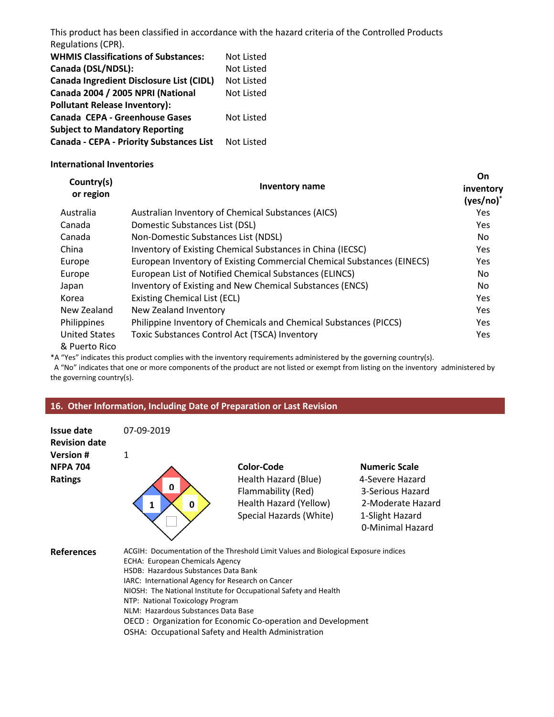This product has been classified in accordance with the hazard criteria of the Controlled Products Regulations (CPR).

| <b>WHMIS Classifications of Substances:</b> | <b>Not Listed</b> |
|---------------------------------------------|-------------------|
| Canada (DSL/NDSL):                          | <b>Not Listed</b> |
| Canada Ingredient Disclosure List (CIDL)    | Not Listed        |
| Canada 2004 / 2005 NPRI (National           | <b>Not Listed</b> |
| <b>Pollutant Release Inventory):</b>        |                   |
| Canada CEPA - Greenhouse Gases              | Not Listed        |
| <b>Subject to Mandatory Reporting</b>       |                   |
| Canada - CEPA - Priority Substances List    | Not Listed        |

#### **International Inventories**

| Country(s)<br>or region               | <b>Inventory name</b>                                                  | On<br>inventory<br>(yes/no) |
|---------------------------------------|------------------------------------------------------------------------|-----------------------------|
| Australia                             | Australian Inventory of Chemical Substances (AICS)                     | <b>Yes</b>                  |
| Canada                                | Domestic Substances List (DSL)                                         | <b>Yes</b>                  |
| Canada                                | Non-Domestic Substances List (NDSL)                                    | No                          |
| China                                 | Inventory of Existing Chemical Substances in China (IECSC)             | <b>Yes</b>                  |
| Europe                                | European Inventory of Existing Commercial Chemical Substances (EINECS) | <b>Yes</b>                  |
| Europe                                | European List of Notified Chemical Substances (ELINCS)                 | No.                         |
| Japan                                 | Inventory of Existing and New Chemical Substances (ENCS)               | No                          |
| Korea                                 | Existing Chemical List (ECL)                                           | Yes                         |
| New Zealand                           | New Zealand Inventory                                                  | <b>Yes</b>                  |
| Philippines                           | Philippine Inventory of Chemicals and Chemical Substances (PICCS)      | <b>Yes</b>                  |
| <b>United States</b><br>& Puerto Rico | Toxic Substances Control Act (TSCA) Inventory                          | <b>Yes</b>                  |

\*A "Yes" indicates this product complies with the inventory requirements administered by the governing country(s).

 A "No" indicates that one or more components of the product are not listed or exempt from listing on the inventory administered by the governing country(s).

#### **16. Other Information, Including Date of Preparation or Last Revision**